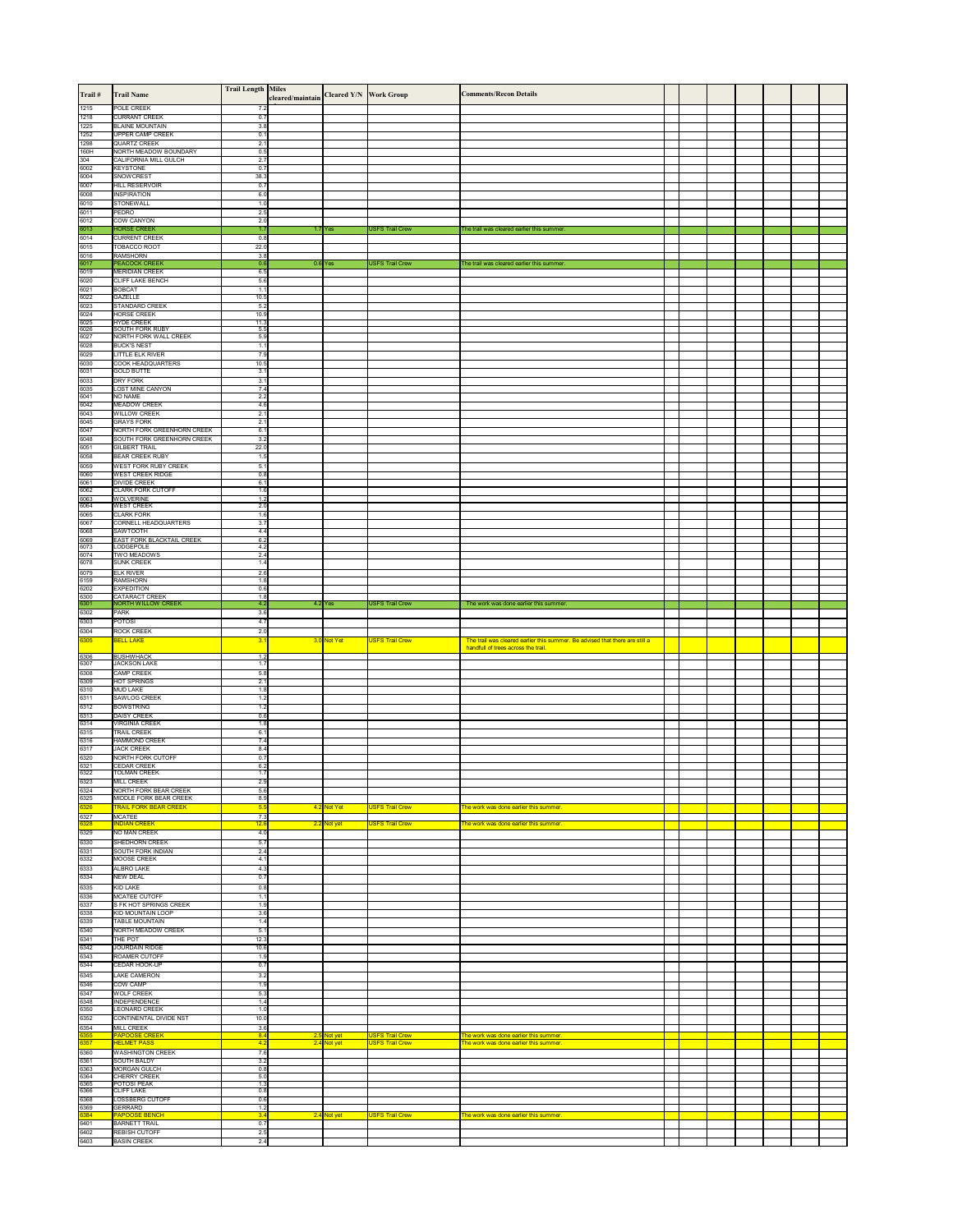| $\textsf{Train} \#$  | <b>Trail Name</b>                                                    | <b>Trail Length  Miles</b>           | cleared/maintain Cleared Y/N Work Group |                            |                                                  | <b>Comments/Recon Details</b>                                                                                       |  |  |  |
|----------------------|----------------------------------------------------------------------|--------------------------------------|-----------------------------------------|----------------------------|--------------------------------------------------|---------------------------------------------------------------------------------------------------------------------|--|--|--|
| 1215<br>1218         | POLE CREEK<br><b>CURRANT CREEK</b>                                   | 7.2<br>0.7                           |                                         |                            |                                                  |                                                                                                                     |  |  |  |
| 1225                 | <b>BLAINE MOUNTAIN</b>                                               | 3.8                                  |                                         |                            |                                                  |                                                                                                                     |  |  |  |
| 1252<br>1298         | <b>UPPER CAMP CREEK</b><br><b>QUARTZ CREEK</b>                       | 0.1<br>2.1                           |                                         |                            |                                                  |                                                                                                                     |  |  |  |
| 160H<br>304          | NORTH MEADOW BOUNDARY<br>CALIFORNIA MILL GULCH                       | 0.5<br>2.7                           |                                         |                            |                                                  |                                                                                                                     |  |  |  |
| 6002<br>6004         | <b>KEYSTONE</b><br><b>SNOWCREST</b>                                  | 0.7<br>38.3                          |                                         |                            |                                                  |                                                                                                                     |  |  |  |
| 6007<br>6008         | <b>HILL RESERVOIR</b><br><b>INSPIRATION</b>                          | 0.7<br>6.0                           |                                         |                            |                                                  |                                                                                                                     |  |  |  |
| 6010<br>6011         | <b>STONEWALL</b><br>PEDRO                                            | 1.0<br>2.5                           |                                         |                            |                                                  |                                                                                                                     |  |  |  |
| 6012<br>6013         | <b>COW CANYON</b><br><b>HORSE CREEK</b>                              | 2.0<br>1.7                           |                                         | $1.7$ Yes                  | <b>USFS Trail Crew</b>                           | The trail was cleared earlier this summer.                                                                          |  |  |  |
| 6014                 | <b>CURRENT CREEK</b>                                                 | 0.8                                  |                                         |                            |                                                  |                                                                                                                     |  |  |  |
| 6015<br>6016         | TOBACCO ROOT<br><b>RAMSHORN</b>                                      | 22.0<br>3.8                          |                                         |                            |                                                  |                                                                                                                     |  |  |  |
| 6017<br>6019         | <b>PEACOCK CREEK</b><br><b>MERIDIAN CREEK</b>                        | 0.6<br>6.5                           |                                         | $0.6$ Yes                  | <b>USFS Trail Crew</b>                           | The trail was cleared earlier this summer.                                                                          |  |  |  |
| 6020<br>6021         | <b>CLIFF LAKE BENCH</b><br><b>BOBCAT</b>                             | 5.6<br>1.1                           |                                         |                            |                                                  |                                                                                                                     |  |  |  |
| 6022<br>6023         | <b>GAZELLE</b><br><b>STANDARD CREEK</b>                              | 10.5<br>5.2                          |                                         |                            |                                                  |                                                                                                                     |  |  |  |
| 6024<br>6025         | <b>HORSE CREEK</b><br><b>HYDE CREEK</b>                              | 10.9<br>11.3                         |                                         |                            |                                                  |                                                                                                                     |  |  |  |
| 6026<br>6027         | <b>SOUTH FORK RUBY</b><br>NORTH FORK WALL CREEK                      | 5.5<br>5.9                           |                                         |                            |                                                  |                                                                                                                     |  |  |  |
| 6028<br>6029         | <b>BUCK'S NEST</b><br>LITTLE ELK RIVER                               | 1.1<br>7.9                           |                                         |                            |                                                  |                                                                                                                     |  |  |  |
| 6030<br>6031         | <b>COOK HEADQUARTERS</b><br><b>GOLD BUTTE</b>                        | 10.5<br>3.1                          |                                         |                            |                                                  |                                                                                                                     |  |  |  |
| 6033<br>6035         | <b>DRY FORK</b><br><b>LOST MINE CANYON</b>                           | 3.1<br>7.4                           |                                         |                            |                                                  |                                                                                                                     |  |  |  |
| 6041<br>6042         | NO NAME<br><b>MEADOW CREEK</b>                                       | 2.2<br>4.6                           |                                         |                            |                                                  |                                                                                                                     |  |  |  |
| 6043<br>6045         | <b>WILLOW CREEK</b><br><b>GRAYS FORK</b>                             | 2.1<br>2.1                           |                                         |                            |                                                  |                                                                                                                     |  |  |  |
| 6047<br>6048         | NORTH FORK GREENHORN CREEK<br>SOUTH FORK GREENHORN CREEK             | 6.1<br>3.2                           |                                         |                            |                                                  |                                                                                                                     |  |  |  |
| 6051<br>6058         | <b>GILBERT TRAIL</b><br><b>BEAR CREEK RUBY</b>                       | 22.0<br>1.5                          |                                         |                            |                                                  |                                                                                                                     |  |  |  |
| 6059<br>6060         | <b>WEST FORK RUBY CREEK</b><br><b>WEST CREEK RIDGE</b>               | 5.1<br>$\overline{0.8}$              |                                         |                            |                                                  |                                                                                                                     |  |  |  |
| 6061<br>6062         | <b>DIVIDE CREEK</b><br><b>CLARK FORK CUTOFF</b>                      | 6.1<br>1.6                           |                                         |                            |                                                  |                                                                                                                     |  |  |  |
| 6063<br>6064         | <b>WOLVERINE</b><br><b>WEST CREEK</b>                                | 1.2<br>2.0                           |                                         |                            |                                                  |                                                                                                                     |  |  |  |
| 6065<br>6067         | <b>CLARK FORK</b><br>CORNELL HEADQUARTERS                            | 1.6<br>3.7                           |                                         |                            |                                                  |                                                                                                                     |  |  |  |
| 6068                 | <b>SAWTOOTH</b><br><b>EAST FORK BLACKTAIL CREEK</b>                  | 4.4<br>6.2                           |                                         |                            |                                                  |                                                                                                                     |  |  |  |
| 6069<br>6073<br>6074 | LODGEPOLE<br>TWO MEADOWS                                             | 4.2<br>2.4                           |                                         |                            |                                                  |                                                                                                                     |  |  |  |
| 6078                 | <b>SUNK CREEK</b>                                                    | 1.4                                  |                                         |                            |                                                  |                                                                                                                     |  |  |  |
| 6079<br>6159<br>6202 | <b>ELK RIVER</b><br>RAMSHORN<br><b>EXPEDITION</b>                    | 2.6<br>1.8<br>0.6                    |                                         |                            |                                                  |                                                                                                                     |  |  |  |
| 6300<br>6301         | <b>CATARACT CREEK</b><br><b>NORTH WILLOW CREEK</b>                   | 1.8<br>4.2                           |                                         | $4.2$ Yes                  | <b>USFS Trail Crew</b>                           | The work was done earlier this summer.                                                                              |  |  |  |
| 6302                 | PARK                                                                 | 3.6                                  |                                         |                            |                                                  |                                                                                                                     |  |  |  |
| 6303<br>6304         | <b>POTOSI</b><br><b>ROCK CREEK</b>                                   | 4.7<br>2.0                           |                                         |                            |                                                  |                                                                                                                     |  |  |  |
|                      |                                                                      |                                      |                                         |                            |                                                  |                                                                                                                     |  |  |  |
| 6305                 | <b>BELL LAKE</b>                                                     | 3.1                                  |                                         | 3.0 Not Yet                | <b>USFS Trail Crew</b>                           | The trail was cleared earlier this summer. Be advised that there are still a<br>handfull of trees across the trail. |  |  |  |
| 6306<br>6307         | <b>BUSHWHACK</b><br><b>JACKSON LAKE</b>                              | 1.2<br>1.7                           |                                         |                            |                                                  |                                                                                                                     |  |  |  |
| 6308<br>6309         | <b>CAMP CREEK</b><br><b>HOT SPRINGS</b>                              | 5.8<br>2.1                           |                                         |                            |                                                  |                                                                                                                     |  |  |  |
| 6310<br>6311         | <b>MUD LAKE</b><br><b>SAWLOG CREEK</b>                               | 1.8<br>1.2                           |                                         |                            |                                                  |                                                                                                                     |  |  |  |
| 6312<br>6313         | <b>BOWSTRING</b><br><b>DAISY CREEK</b>                               | 1.2<br>0.6                           |                                         |                            |                                                  |                                                                                                                     |  |  |  |
| 6314<br>6315         | <b>VIRGINIA CREEK</b><br><b>TRAIL CREEK</b>                          | 1.8<br>6.1                           |                                         |                            |                                                  |                                                                                                                     |  |  |  |
| 6316<br>6317         | <b>HAMMOND CREEK</b><br><b>JACK CREEK</b>                            | 7.4<br>8.4                           |                                         |                            |                                                  |                                                                                                                     |  |  |  |
| 6320<br>6321         | <b>NORTH FORK CUTOFF</b><br><b>CEDAR CREEK</b>                       | 0.7<br>6.2                           |                                         |                            |                                                  |                                                                                                                     |  |  |  |
| 6322<br>6323         | <b>TOLMAN CREEK</b><br><b>MILL CREEK</b>                             | 1.7<br>2.9                           |                                         |                            |                                                  |                                                                                                                     |  |  |  |
| 6324<br>6325         | NORTH FORK BEAR CREEK<br>MIDDLE FORK BEAR CREEK                      | 5.6<br>8.9                           |                                         |                            |                                                  |                                                                                                                     |  |  |  |
| 6326<br>6327         | <b>TRAIL FORK BEAR CREEK</b><br><b>MCATEE</b>                        | 5.5<br>7.3                           |                                         | 4.2 Not Yet                | <b>USFS Trail Crew</b>                           | The work was done earlier this summer.                                                                              |  |  |  |
| 6328<br>6329         | <b>INDIAN CREEK</b><br>NO MAN CREEK                                  | 12.6<br>4.0                          |                                         | 2.2 Not yet                | <b>USFS Trail Crew</b>                           | The work was done earlier this summer.                                                                              |  |  |  |
| 6330                 | SHEDHORN CREEK                                                       | 5.7                                  |                                         |                            |                                                  |                                                                                                                     |  |  |  |
| 6331<br>6332         | <b>SOUTH FORK INDIAN</b><br>MOOSE CREEK                              | 2.4<br>4.1                           |                                         |                            |                                                  |                                                                                                                     |  |  |  |
| 6333<br>6334         | <b>ALBRO LAKE</b><br><b>NEW DEAL</b>                                 | 4.3<br>0.7                           |                                         |                            |                                                  |                                                                                                                     |  |  |  |
| 6335<br>6336         | KID LAKE<br>MCATEE CUTOFF                                            | 0.8<br>1.1                           |                                         |                            |                                                  |                                                                                                                     |  |  |  |
| 6337<br>6338         | S FK HOT SPRINGS CREEK<br><b>KID MOUNTAIN LOOP</b>                   | 1.9<br>3.6                           |                                         |                            |                                                  |                                                                                                                     |  |  |  |
| 6339<br>6340         | <b>TABLE MOUNTAIN</b><br><b>NORTH MEADOW CREEK</b>                   | 1.4<br>5.1                           |                                         |                            |                                                  |                                                                                                                     |  |  |  |
| 6341<br>6342         | THE POT<br><b>JOURDAIN RIDGE</b>                                     | 12.3<br>10.6                         |                                         |                            |                                                  |                                                                                                                     |  |  |  |
| 6343                 | <b>ROAMER CUTOFF</b><br>CEDAR HOOK-UP                                | 1.9<br>0.7                           |                                         |                            |                                                  |                                                                                                                     |  |  |  |
| 6344<br>6345         | <b>LAKE CAMERON</b>                                                  | 3.2                                  |                                         |                            |                                                  |                                                                                                                     |  |  |  |
| 6346<br>6347         | <b>COW CAMP</b><br><b>WOLF CREEK</b>                                 | 1.9<br>5.3                           |                                         |                            |                                                  |                                                                                                                     |  |  |  |
| 6348<br>6350         | <b>INDEPENDENCE</b><br><b>LEONARD CREEK</b>                          | 1.4<br>1.0                           |                                         |                            |                                                  |                                                                                                                     |  |  |  |
| 6352<br>6354         | <b>CONTINENTAL DIVIDE NST</b><br><b>MILL CREEK</b>                   | 10.0<br>3.6                          |                                         |                            |                                                  |                                                                                                                     |  |  |  |
| 6355<br> 6357        | <b>PAPOOSE CREEK</b><br><b>HELMET PASS</b>                           | 8.4<br>4.2                           |                                         | 2.5 Not yet<br>2.4 Not yet | <b>USFS Trail Crew</b><br><b>USFS Trail Crew</b> | The work was done earlier this summer.<br>The work was done earlier this summer.                                    |  |  |  |
| 6360<br>6361         | <b>WASHINGTON CREEK</b><br><b>SOUTH BALDY</b>                        | 7.6<br>3.2                           |                                         |                            |                                                  |                                                                                                                     |  |  |  |
| 6363<br>6364         | MORGAN GULCH<br><b>CHERRY CREEK</b>                                  | 0.8<br>5.0                           |                                         |                            |                                                  |                                                                                                                     |  |  |  |
| 6365<br>6366         | POTOSI PEAK<br><b>CLIFF LAKE</b>                                     | $\overline{1.3}$<br>$\overline{0.8}$ |                                         |                            |                                                  |                                                                                                                     |  |  |  |
| 6368<br>6369         | LOSSBERG CUTOFF<br><b>GERRARD</b>                                    | 0.6<br>1.2                           |                                         |                            |                                                  |                                                                                                                     |  |  |  |
| 6384<br>6401<br>6402 | <b>PAPOOSE BENCH</b><br><b>BARNETT TRAIL</b><br><b>REBISH CUTOFF</b> | 3.4<br>0.7<br>2.5                    |                                         | 2.4 Not yet                | <b>USFS Trail Crew</b>                           | The work was done earlier this summer.                                                                              |  |  |  |